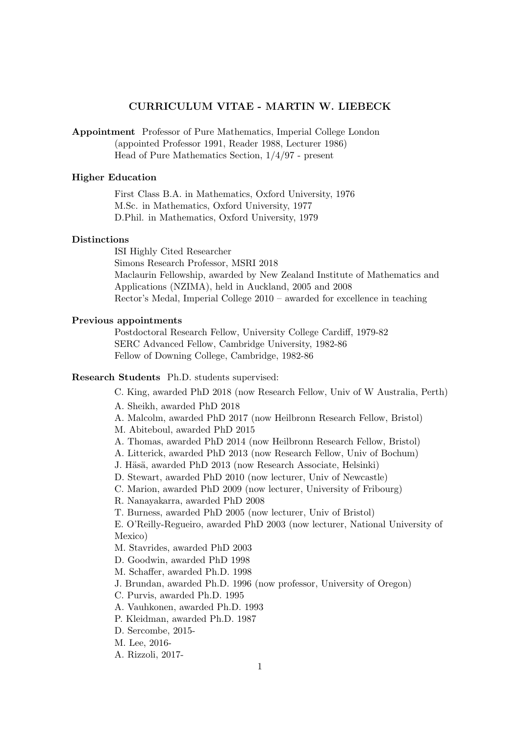## CURRICULUM VITAE - MARTIN W. LIEBECK

Appointment Professor of Pure Mathematics, Imperial College London (appointed Professor 1991, Reader 1988, Lecturer 1986) Head of Pure Mathematics Section, 1/4/97 - present

## Higher Education

First Class B.A. in Mathematics, Oxford University, 1976 M.Sc. in Mathematics, Oxford University, 1977 D.Phil. in Mathematics, Oxford University, 1979

#### Distinctions

ISI Highly Cited Researcher Simons Research Professor, MSRI 2018 Maclaurin Fellowship, awarded by New Zealand Institute of Mathematics and Applications (NZIMA), held in Auckland, 2005 and 2008 Rector's Medal, Imperial College 2010 – awarded for excellence in teaching

## Previous appointments

Postdoctoral Research Fellow, University College Cardiff, 1979-82 SERC Advanced Fellow, Cambridge University, 1982-86 Fellow of Downing College, Cambridge, 1982-86

### Research Students Ph.D. students supervised:

C. King, awarded PhD 2018 (now Research Fellow, Univ of W Australia, Perth)

- A. Sheikh, awarded PhD 2018
- A. Malcolm, awarded PhD 2017 (now Heilbronn Research Fellow, Bristol)
- M. Abiteboul, awarded PhD 2015
- A. Thomas, awarded PhD 2014 (now Heilbronn Research Fellow, Bristol)
- A. Litterick, awarded PhD 2013 (now Research Fellow, Univ of Bochum)
- J. Häsä, awarded PhD 2013 (now Research Associate, Helsinki)
- D. Stewart, awarded PhD 2010 (now lecturer, Univ of Newcastle)
- C. Marion, awarded PhD 2009 (now lecturer, University of Fribourg)
- R. Nanayakarra, awarded PhD 2008
- T. Burness, awarded PhD 2005 (now lecturer, Univ of Bristol)

E. O'Reilly-Regueiro, awarded PhD 2003 (now lecturer, National University of Mexico)

- M. Stavrides, awarded PhD 2003
- D. Goodwin, awarded PhD 1998
- M. Schaffer, awarded Ph.D. 1998
- J. Brundan, awarded Ph.D. 1996 (now professor, University of Oregon)
- C. Purvis, awarded Ph.D. 1995
- A. Vauhkonen, awarded Ph.D. 1993
- P. Kleidman, awarded Ph.D. 1987
- D. Sercombe, 2015-
- M. Lee, 2016-
- A. Rizzoli, 2017-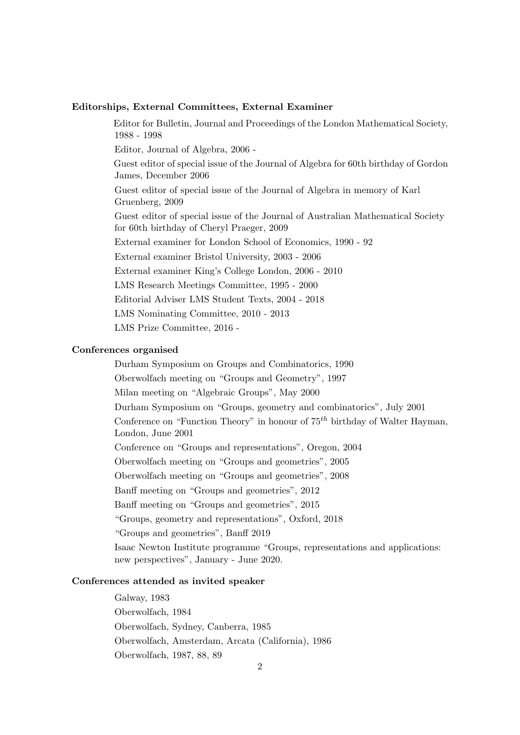#### Editorships, External Committees, External Examiner

Editor for Bulletin, Journal and Proceedings of the London Mathematical Society, 1988 - 1998

Editor, Journal of Algebra, 2006 -

Guest editor of special issue of the Journal of Algebra for 60th birthday of Gordon James, December 2006

Guest editor of special issue of the Journal of Algebra in memory of Karl Gruenberg, 2009

Guest editor of special issue of the Journal of Australian Mathematical Society for 60th birthday of Cheryl Praeger, 2009

External examiner for London School of Economics, 1990 - 92

External examiner Bristol University, 2003 - 2006

External examiner King's College London, 2006 - 2010

LMS Research Meetings Committee, 1995 - 2000

Editorial Adviser LMS Student Texts, 2004 - 2018

LMS Nominating Committee, 2010 - 2013

LMS Prize Committee, 2016 -

#### Conferences organised

Durham Symposium on Groups and Combinatorics, 1990 Oberwolfach meeting on "Groups and Geometry", 1997 Milan meeting on "Algebraic Groups", May 2000 Durham Symposium on "Groups, geometry and combinatorics", July 2001 Conference on "Function Theory" in honour of  $75<sup>th</sup>$  birthday of Walter Hayman, London, June 2001 Conference on "Groups and representations", Oregon, 2004 Oberwolfach meeting on "Groups and geometries", 2005 Oberwolfach meeting on "Groups and geometries", 2008 Banff meeting on "Groups and geometries", 2012 Banff meeting on "Groups and geometries", 2015 "Groups, geometry and representations", Oxford, 2018 "Groups and geometries", Banff 2019 Isaac Newton Institute programme "Groups, representations and applications: new perspectives", January - June 2020.

#### Conferences attended as invited speaker

Galway, 1983 Oberwolfach, 1984 Oberwolfach, Sydney, Canberra, 1985 Oberwolfach, Amsterdam, Arcata (California), 1986 Oberwolfach, 1987, 88, 89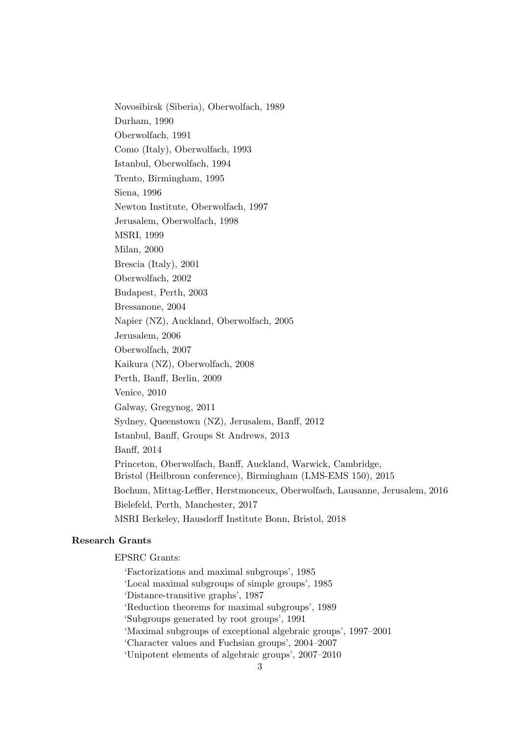Novosibirsk (Siberia), Oberwolfach, 1989 Durham, 1990 Oberwolfach, 1991 Como (Italy), Oberwolfach, 1993 Istanbul, Oberwolfach, 1994 Trento, Birmingham, 1995 Siena, 1996 Newton Institute, Oberwolfach, 1997 Jerusalem, Oberwolfach, 1998 MSRI, 1999 Milan, 2000 Brescia (Italy), 2001 Oberwolfach, 2002 Budapest, Perth, 2003 Bressanone, 2004 Napier (NZ), Auckland, Oberwolfach, 2005 Jerusalem, 2006 Oberwolfach, 2007 Kaikura (NZ), Oberwolfach, 2008 Perth, Banff, Berlin, 2009 Venice, 2010 Galway, Gregynog, 2011 Sydney, Queenstown (NZ), Jerusalem, Banff, 2012 Istanbul, Banff, Groups St Andrews, 2013 Banff, 2014 Princeton, Oberwolfach, Banff, Auckland, Warwick, Cambridge, Bristol (Heilbronn conference), Birmingham (LMS-EMS 150), 2015 Bochum, Mittag-Leffler, Herstmonceux, Oberwolfach, Lausanne, Jerusalem, 2016 Bielefeld, Perth, Manchester, 2017 MSRI Berkeley, Hausdorff Institute Bonn, Bristol, 2018

## Research Grants

EPSRC Grants:

'Factorizations and maximal subgroups', 1985 'Local maximal subgroups of simple groups', 1985 'Distance-transitive graphs', 1987 'Reduction theorems for maximal subgroups', 1989 'Subgroups generated by root groups', 1991 'Maximal subgroups of exceptional algebraic groups', 1997–2001 'Character values and Fuchsian groups', 2004–2007 'Unipotent elements of algebraic groups', 2007–2010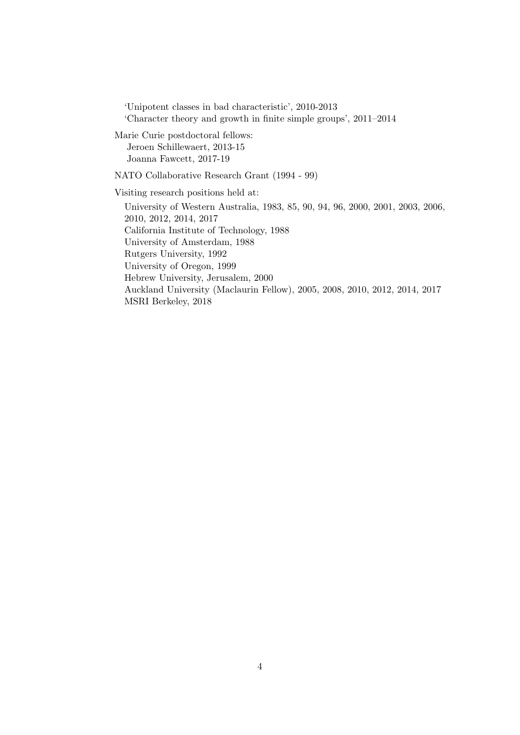'Unipotent classes in bad characteristic', 2010-2013 'Character theory and growth in finite simple groups', 2011–2014

Marie Curie postdoctoral fellows: Jeroen Schillewaert, 2013-15 Joanna Fawcett, 2017-19

NATO Collaborative Research Grant (1994 - 99)

Visiting research positions held at:

University of Western Australia, 1983, 85, 90, 94, 96, 2000, 2001, 2003, 2006, 2010, 2012, 2014, 2017 California Institute of Technology, 1988 University of Amsterdam, 1988 Rutgers University, 1992 University of Oregon, 1999 Hebrew University, Jerusalem, 2000 Auckland University (Maclaurin Fellow), 2005, 2008, 2010, 2012, 2014, 2017 MSRI Berkeley, 2018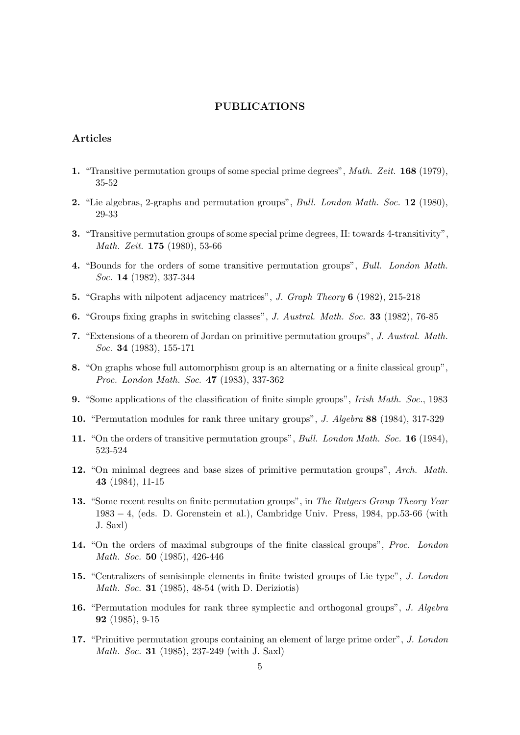### PUBLICATIONS

## Articles

- 1. "Transitive permutation groups of some special prime degrees", Math. Zeit. 168 (1979), 35-52
- 2. "Lie algebras, 2-graphs and permutation groups", Bull. London Math. Soc. 12 (1980), 29-33
- 3. "Transitive permutation groups of some special prime degrees, II: towards 4-transitivity", Math. Zeit. 175 (1980), 53-66
- 4. "Bounds for the orders of some transitive permutation groups", Bull. London Math. Soc. 14 (1982), 337-344
- 5. "Graphs with nilpotent adjacency matrices", J. Graph Theory 6 (1982), 215-218
- 6. "Groups fixing graphs in switching classes", J. Austral. Math. Soc. 33 (1982), 76-85
- 7. "Extensions of a theorem of Jordan on primitive permutation groups", J. Austral. Math. Soc. 34 (1983), 155-171
- 8. "On graphs whose full automorphism group is an alternating or a finite classical group", Proc. London Math. Soc. 47 (1983), 337-362
- 9. "Some applications of the classification of finite simple groups", Irish Math. Soc., 1983
- 10. "Permutation modules for rank three unitary groups", J. Algebra 88 (1984), 317-329
- 11. "On the orders of transitive permutation groups", Bull. London Math. Soc. 16 (1984), 523-524
- 12. "On minimal degrees and base sizes of primitive permutation groups", Arch. Math. 43 (1984), 11-15
- 13. "Some recent results on finite permutation groups", in The Rutgers Group Theory Year 1983 − 4, (eds. D. Gorenstein et al.), Cambridge Univ. Press, 1984, pp.53-66 (with J. Saxl)
- 14. "On the orders of maximal subgroups of the finite classical groups", Proc. London Math. Soc. 50 (1985), 426-446
- 15. "Centralizers of semisimple elements in finite twisted groups of Lie type", J. London Math. Soc. 31 (1985), 48-54 (with D. Deriziotis)
- 16. "Permutation modules for rank three symplectic and orthogonal groups", J. Algebra 92 (1985), 9-15
- 17. "Primitive permutation groups containing an element of large prime order", J. London Math. Soc. 31 (1985), 237-249 (with J. Saxl)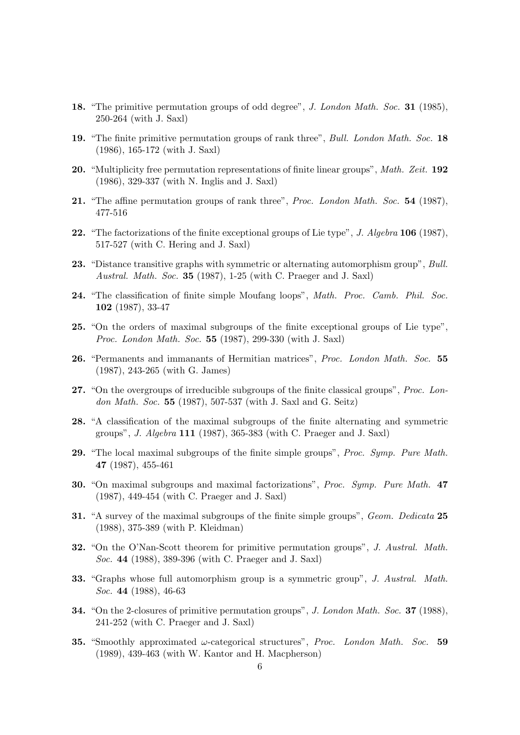- 18. "The primitive permutation groups of odd degree", J. London Math. Soc. 31 (1985), 250-264 (with J. Saxl)
- 19. "The finite primitive permutation groups of rank three", Bull. London Math. Soc. 18 (1986), 165-172 (with J. Saxl)
- 20. "Multiplicity free permutation representations of finite linear groups", Math. Zeit. 192 (1986), 329-337 (with N. Inglis and J. Saxl)
- 21. "The affine permutation groups of rank three", Proc. London Math. Soc. 54 (1987), 477-516
- 22. "The factorizations of the finite exceptional groups of Lie type", J. Algebra 106 (1987), 517-527 (with C. Hering and J. Saxl)
- 23. "Distance transitive graphs with symmetric or alternating automorphism group", Bull. Austral. Math. Soc. 35 (1987), 1-25 (with C. Praeger and J. Saxl)
- 24. "The classification of finite simple Moufang loops", Math. Proc. Camb. Phil. Soc. 102 (1987), 33-47
- 25. "On the orders of maximal subgroups of the finite exceptional groups of Lie type", Proc. London Math. Soc. 55 (1987), 299-330 (with J. Saxl)
- 26. "Permanents and immanants of Hermitian matrices", Proc. London Math. Soc. 55 (1987), 243-265 (with G. James)
- 27. "On the overgroups of irreducible subgroups of the finite classical groups", Proc. London Math. Soc. 55 (1987), 507-537 (with J. Saxl and G. Seitz)
- 28. "A classification of the maximal subgroups of the finite alternating and symmetric groups", J. Algebra 111 (1987), 365-383 (with C. Praeger and J. Saxl)
- 29. "The local maximal subgroups of the finite simple groups", *Proc. Symp. Pure Math.* 47 (1987), 455-461
- 30. "On maximal subgroups and maximal factorizations", Proc. Symp. Pure Math. 47 (1987), 449-454 (with C. Praeger and J. Saxl)
- 31. "A survey of the maximal subgroups of the finite simple groups", Geom. Dedicata 25 (1988), 375-389 (with P. Kleidman)
- 32. "On the O'Nan-Scott theorem for primitive permutation groups", J. Austral. Math. Soc. 44 (1988), 389-396 (with C. Praeger and J. Saxl)
- 33. "Graphs whose full automorphism group is a symmetric group", J. Austral. Math. Soc. 44 (1988), 46-63
- 34. "On the 2-closures of primitive permutation groups", J. London Math. Soc. 37 (1988), 241-252 (with C. Praeger and J. Saxl)
- **35.** "Smoothly approximated  $\omega$ -categorical structures", *Proc. London Math. Soc.* 59 (1989), 439-463 (with W. Kantor and H. Macpherson)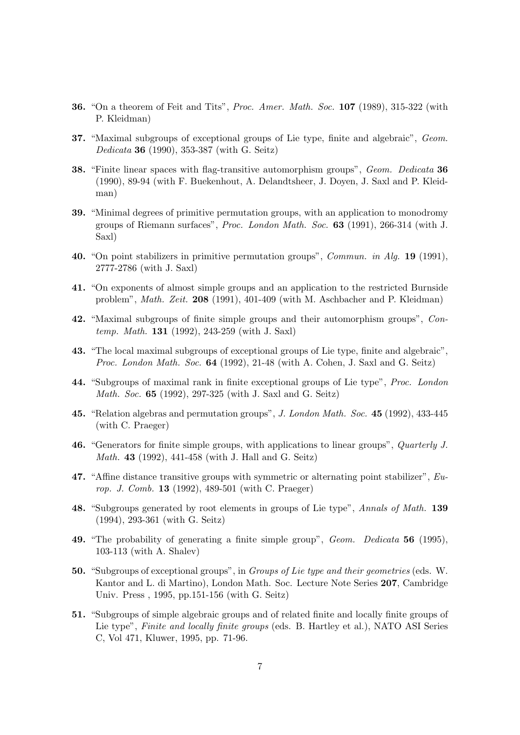- 36. "On a theorem of Feit and Tits", Proc. Amer. Math. Soc. 107 (1989), 315-322 (with P. Kleidman)
- 37. "Maximal subgroups of exceptional groups of Lie type, finite and algebraic", Geom. Dedicata 36 (1990), 353-387 (with G. Seitz)
- 38. "Finite linear spaces with flag-transitive automorphism groups", Geom. Dedicata 36 (1990), 89-94 (with F. Buekenhout, A. Delandtsheer, J. Doyen, J. Saxl and P. Kleidman)
- 39. "Minimal degrees of primitive permutation groups, with an application to monodromy groups of Riemann surfaces", Proc. London Math. Soc. 63 (1991), 266-314 (with J. Saxl)
- 40. "On point stabilizers in primitive permutation groups", Commun. in Alg. 19 (1991), 2777-2786 (with J. Saxl)
- 41. "On exponents of almost simple groups and an application to the restricted Burnside problem", Math. Zeit. 208 (1991), 401-409 (with M. Aschbacher and P. Kleidman)
- 42. "Maximal subgroups of finite simple groups and their automorphism groups", Contemp. Math. 131 (1992), 243-259 (with J. Saxl)
- 43. "The local maximal subgroups of exceptional groups of Lie type, finite and algebraic", Proc. London Math. Soc. 64 (1992), 21-48 (with A. Cohen, J. Saxl and G. Seitz)
- 44. "Subgroups of maximal rank in finite exceptional groups of Lie type", Proc. London Math. Soc. 65 (1992), 297-325 (with J. Saxl and G. Seitz)
- 45. "Relation algebras and permutation groups", J. London Math. Soc. 45 (1992), 433-445 (with C. Praeger)
- 46. "Generators for finite simple groups, with applications to linear groups", Quarterly J. Math. 43 (1992), 441-458 (with J. Hall and G. Seitz)
- 47. "Affine distance transitive groups with symmetric or alternating point stabilizer", Europ. J. Comb. 13 (1992), 489-501 (with C. Praeger)
- 48. "Subgroups generated by root elements in groups of Lie type", Annals of Math. 139 (1994), 293-361 (with G. Seitz)
- 49. "The probability of generating a finite simple group", Geom. Dedicata 56 (1995), 103-113 (with A. Shalev)
- 50. "Subgroups of exceptional groups", in Groups of Lie type and their geometries (eds. W. Kantor and L. di Martino), London Math. Soc. Lecture Note Series 207, Cambridge Univ. Press , 1995, pp.151-156 (with G. Seitz)
- 51. "Subgroups of simple algebraic groups and of related finite and locally finite groups of Lie type", Finite and locally finite groups (eds. B. Hartley et al.), NATO ASI Series C, Vol 471, Kluwer, 1995, pp. 71-96.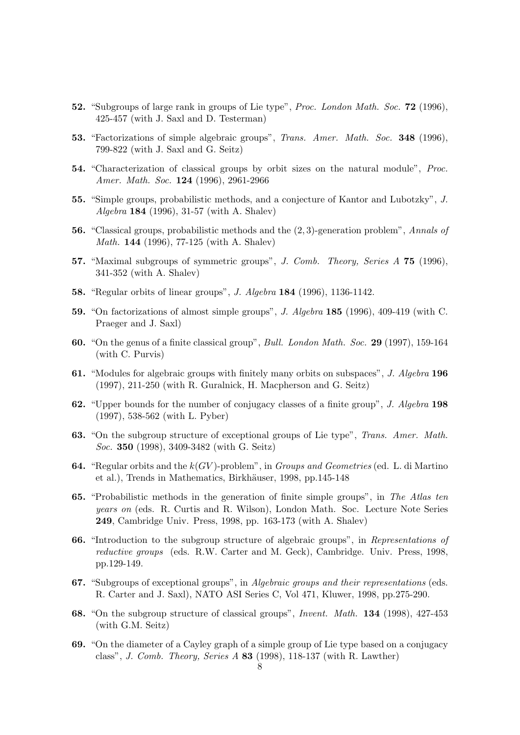- 52. "Subgroups of large rank in groups of Lie type", Proc. London Math. Soc. 72 (1996), 425-457 (with J. Saxl and D. Testerman)
- 53. "Factorizations of simple algebraic groups", Trans. Amer. Math. Soc. 348 (1996), 799-822 (with J. Saxl and G. Seitz)
- 54. "Characterization of classical groups by orbit sizes on the natural module", Proc. Amer. Math. Soc. 124 (1996), 2961-2966
- 55. "Simple groups, probabilistic methods, and a conjecture of Kantor and Lubotzky", J. Algebra 184 (1996), 31-57 (with A. Shalev)
- 56. "Classical groups, probabilistic methods and the (2, 3)-generation problem", Annals of Math. 144 (1996), 77-125 (with A. Shalev)
- 57. "Maximal subgroups of symmetric groups", J. Comb. Theory, Series A 75 (1996), 341-352 (with A. Shalev)
- 58. "Regular orbits of linear groups", J. Algebra 184 (1996), 1136-1142.
- 59. "On factorizations of almost simple groups", J. Algebra 185 (1996), 409-419 (with C. Praeger and J. Saxl)
- 60. "On the genus of a finite classical group", Bull. London Math. Soc. 29 (1997), 159-164 (with C. Purvis)
- 61. "Modules for algebraic groups with finitely many orbits on subspaces", J. Algebra 196 (1997), 211-250 (with R. Guralnick, H. Macpherson and G. Seitz)
- 62. "Upper bounds for the number of conjugacy classes of a finite group", J. Algebra 198 (1997), 538-562 (with L. Pyber)
- 63. "On the subgroup structure of exceptional groups of Lie type", Trans. Amer. Math. Soc. 350 (1998), 3409-3482 (with G. Seitz)
- **64.** "Regular orbits and the  $k(GV)$ -problem", in *Groups and Geometries* (ed. L. di Martino et al.), Trends in Mathematics, Birkhäuser, 1998, pp.145-148
- 65. "Probabilistic methods in the generation of finite simple groups", in The Atlas ten years on (eds. R. Curtis and R. Wilson), London Math. Soc. Lecture Note Series 249, Cambridge Univ. Press, 1998, pp. 163-173 (with A. Shalev)
- 66. "Introduction to the subgroup structure of algebraic groups", in Representations of reductive groups (eds. R.W. Carter and M. Geck), Cambridge. Univ. Press, 1998, pp.129-149.
- 67. "Subgroups of exceptional groups", in Algebraic groups and their representations (eds. R. Carter and J. Saxl), NATO ASI Series C, Vol 471, Kluwer, 1998, pp.275-290.
- 68. "On the subgroup structure of classical groups", Invent. Math. 134 (1998), 427-453 (with G.M. Seitz)
- 69. "On the diameter of a Cayley graph of a simple group of Lie type based on a conjugacy class", J. Comb. Theory, Series A 83 (1998), 118-137 (with R. Lawther)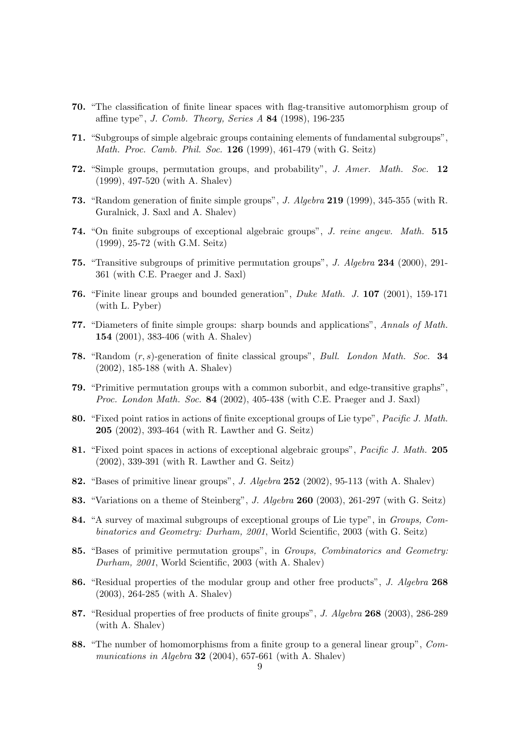- 70. "The classification of finite linear spaces with flag-transitive automorphism group of affine type", J. Comb. Theory, Series A 84 (1998), 196-235
- 71. "Subgroups of simple algebraic groups containing elements of fundamental subgroups", Math. Proc. Camb. Phil. Soc. 126 (1999), 461-479 (with G. Seitz)
- 72. "Simple groups, permutation groups, and probability", J. Amer. Math. Soc. 12 (1999), 497-520 (with A. Shalev)
- 73. "Random generation of finite simple groups", J. Algebra 219 (1999), 345-355 (with R. Guralnick, J. Saxl and A. Shalev)
- 74. "On finite subgroups of exceptional algebraic groups", J. reine angew. Math. 515 (1999), 25-72 (with G.M. Seitz)
- 75. "Transitive subgroups of primitive permutation groups", J. Algebra 234 (2000), 291- 361 (with C.E. Praeger and J. Saxl)
- 76. "Finite linear groups and bounded generation", Duke Math. J. 107 (2001), 159-171 (with L. Pyber)
- 77. "Diameters of finite simple groups: sharp bounds and applications", Annals of Math. 154 (2001), 383-406 (with A. Shalev)
- 78. "Random (r, s)-generation of finite classical groups", Bull. London Math. Soc. 34 (2002), 185-188 (with A. Shalev)
- 79. "Primitive permutation groups with a common suborbit, and edge-transitive graphs", Proc. London Math. Soc. 84 (2002), 405-438 (with C.E. Praeger and J. Saxl)
- 80. "Fixed point ratios in actions of finite exceptional groups of Lie type", *Pacific J. Math.* 205 (2002), 393-464 (with R. Lawther and G. Seitz)
- 81. "Fixed point spaces in actions of exceptional algebraic groups", Pacific J. Math. 205 (2002), 339-391 (with R. Lawther and G. Seitz)
- 82. "Bases of primitive linear groups", J. Algebra 252 (2002), 95-113 (with A. Shalev)
- 83. "Variations on a theme of Steinberg", J. Algebra 260 (2003), 261-297 (with G. Seitz)
- 84. "A survey of maximal subgroups of exceptional groups of Lie type", in Groups, Combinatorics and Geometry: Durham, 2001, World Scientific, 2003 (with G. Seitz)
- 85. "Bases of primitive permutation groups", in Groups, Combinatorics and Geometry: Durham, 2001, World Scientific, 2003 (with A. Shalev)
- 86. "Residual properties of the modular group and other free products", J. Algebra 268 (2003), 264-285 (with A. Shalev)
- 87. "Residual properties of free products of finite groups", J. Algebra 268 (2003), 286-289 (with A. Shalev)
- 88. "The number of homomorphisms from a finite group to a general linear group", Communications in Algebra 32 (2004), 657-661 (with A. Shalev)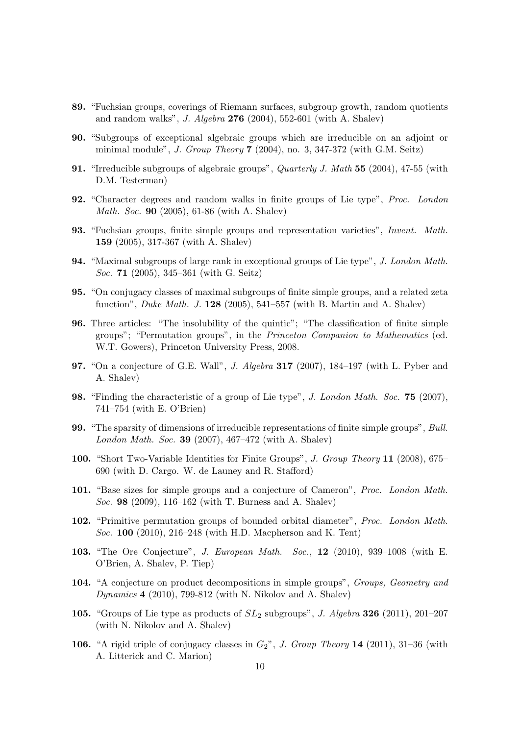- 89. "Fuchsian groups, coverings of Riemann surfaces, subgroup growth, random quotients and random walks", J. Algebra 276 (2004), 552-601 (with A. Shalev)
- 90. "Subgroups of exceptional algebraic groups which are irreducible on an adjoint or minimal module", J. Group Theory 7 (2004), no. 3, 347-372 (with G.M. Seitz)
- 91. "Irreducible subgroups of algebraic groups", Quarterly J. Math 55 (2004), 47-55 (with D.M. Testerman)
- 92. "Character degrees and random walks in finite groups of Lie type", Proc. London Math. Soc. 90 (2005), 61-86 (with A. Shalev)
- 93. "Fuchsian groups, finite simple groups and representation varieties", Invent. Math. 159 (2005), 317-367 (with A. Shalev)
- 94. "Maximal subgroups of large rank in exceptional groups of Lie type", J. London Math. Soc. 71 (2005), 345–361 (with G. Seitz)
- 95. "On conjugacy classes of maximal subgroups of finite simple groups, and a related zeta function", *Duke Math. J.* **128** (2005), 541–557 (with B. Martin and A. Shalev)
- 96. Three articles: "The insolubility of the quintic"; "The classification of finite simple groups"; "Permutation groups", in the Princeton Companion to Mathematics (ed. W.T. Gowers), Princeton University Press, 2008.
- 97. "On a conjecture of G.E. Wall", J. Algebra 317 (2007), 184–197 (with L. Pyber and A. Shalev)
- 98. "Finding the characteristic of a group of Lie type", J. London Math. Soc. 75 (2007), 741–754 (with E. O'Brien)
- 99. "The sparsity of dimensions of irreducible representations of finite simple groups", Bull. London Math. Soc. 39 (2007), 467–472 (with A. Shalev)
- 100. "Short Two-Variable Identities for Finite Groups", J. Group Theory 11 (2008), 675– 690 (with D. Cargo. W. de Launey and R. Stafford)
- 101. "Base sizes for simple groups and a conjecture of Cameron", Proc. London Math. Soc. 98 (2009), 116–162 (with T. Burness and A. Shalev)
- 102. "Primitive permutation groups of bounded orbital diameter", Proc. London Math. Soc. 100 (2010), 216–248 (with H.D. Macpherson and K. Tent)
- 103. "The Ore Conjecture", J. European Math. Soc., 12 (2010), 939–1008 (with E. O'Brien, A. Shalev, P. Tiep)
- 104. "A conjecture on product decompositions in simple groups", Groups, Geometry and Dynamics 4 (2010), 799-812 (with N. Nikolov and A. Shalev)
- 105. "Groups of Lie type as products of  $SL_2$  subgroups", J. Algebra 326 (2011), 201–207 (with N. Nikolov and A. Shalev)
- 106. "A rigid triple of conjugacy classes in  $G_2$ ", J. Group Theory 14 (2011), 31-36 (with A. Litterick and C. Marion)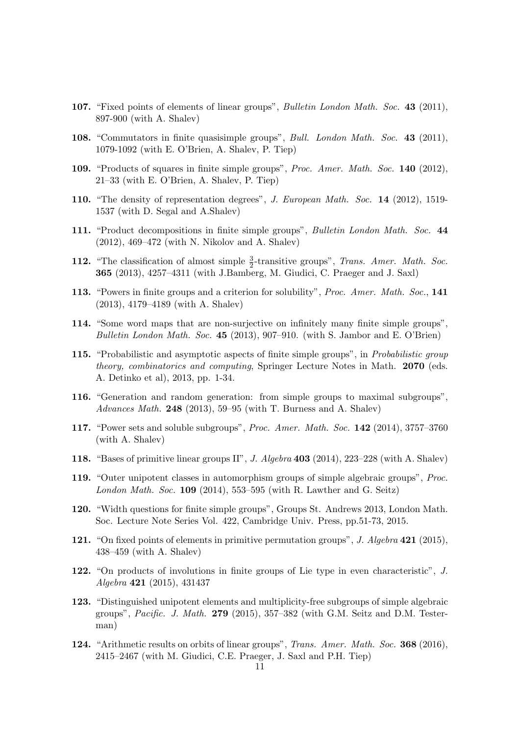- 107. "Fixed points of elements of linear groups", Bulletin London Math. Soc. 43 (2011), 897-900 (with A. Shalev)
- 108. "Commutators in finite quasisimple groups", Bull. London Math. Soc. 43 (2011), 1079-1092 (with E. O'Brien, A. Shalev, P. Tiep)
- 109. "Products of squares in finite simple groups", Proc. Amer. Math. Soc. 140 (2012), 21–33 (with E. O'Brien, A. Shalev, P. Tiep)
- 110. "The density of representation degrees", J. European Math. Soc. 14 (2012), 1519- 1537 (with D. Segal and A.Shalev)
- 111. "Product decompositions in finite simple groups", Bulletin London Math. Soc. 44 (2012), 469–472 (with N. Nikolov and A. Shalev)
- **112.** "The classification of almost simple  $\frac{3}{2}$ -transitive groups", Trans. Amer. Math. Soc. 365 (2013), 4257–4311 (with J.Bamberg, M. Giudici, C. Praeger and J. Saxl)
- 113. "Powers in finite groups and a criterion for solubility", Proc. Amer. Math. Soc., 141 (2013), 4179–4189 (with A. Shalev)
- 114. "Some word maps that are non-surjective on infinitely many finite simple groups", Bulletin London Math. Soc. 45 (2013), 907–910. (with S. Jambor and E. O'Brien)
- 115. "Probabilistic and asymptotic aspects of finite simple groups", in Probabilistic group theory, combinatorics and computing, Springer Lecture Notes in Math. 2070 (eds. A. Detinko et al), 2013, pp. 1-34.
- 116. "Generation and random generation: from simple groups to maximal subgroups", Advances Math. 248 (2013), 59–95 (with T. Burness and A. Shalev)
- 117. "Power sets and soluble subgroups", Proc. Amer. Math. Soc. 142 (2014), 3757–3760 (with A. Shalev)
- 118. "Bases of primitive linear groups II", J. Algebra 403 (2014), 223–228 (with A. Shalev)
- 119. "Outer unipotent classes in automorphism groups of simple algebraic groups", Proc. London Math. Soc.  $109$  (2014), 553–595 (with R. Lawther and G. Seitz)
- 120. "Width questions for finite simple groups", Groups St. Andrews 2013, London Math. Soc. Lecture Note Series Vol. 422, Cambridge Univ. Press, pp.51-73, 2015.
- 121. "On fixed points of elements in primitive permutation groups", J. Algebra 421 (2015), 438–459 (with A. Shalev)
- 122. "On products of involutions in finite groups of Lie type in even characteristic", J. Algebra 421 (2015), 431437
- 123. "Distinguished unipotent elements and multiplicity-free subgroups of simple algebraic groups", Pacific. J. Math. 279 (2015), 357–382 (with G.M. Seitz and D.M. Testerman)
- 124. "Arithmetic results on orbits of linear groups", Trans. Amer. Math. Soc. 368 (2016), 2415–2467 (with M. Giudici, C.E. Praeger, J. Saxl and P.H. Tiep)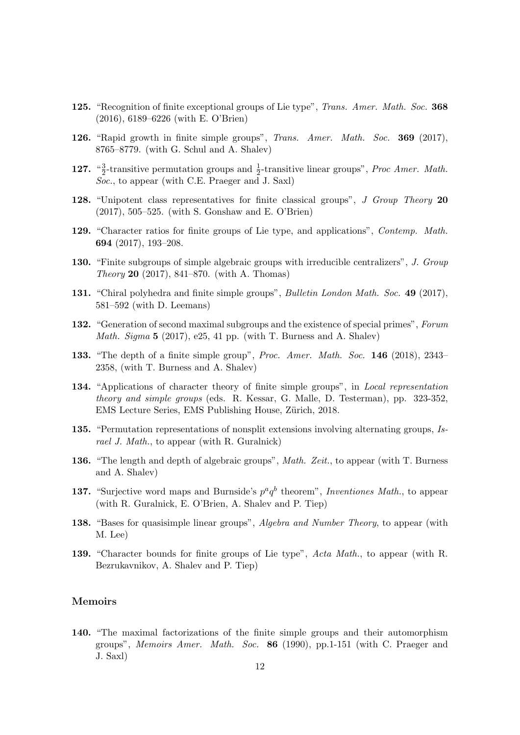- 125. "Recognition of finite exceptional groups of Lie type", *Trans. Amer. Math. Soc.* 368 (2016), 6189–6226 (with E. O'Brien)
- 126. "Rapid growth in finite simple groups", Trans. Amer. Math. Soc. 369 (2017), 8765–8779. (with G. Schul and A. Shalev)
- 127.  $\frac{a3}{2}$  $\frac{3}{2}$ -transitive permutation groups and  $\frac{1}{2}$ -transitive linear groups", *Proc Amer. Math.*  $Soc.$ , to appear (with C.E. Praeger and J. Saxl)
- 128. "Unipotent class representatives for finite classical groups", J Group Theory 20 (2017), 505–525. (with S. Gonshaw and E. O'Brien)
- 129. "Character ratios for finite groups of Lie type, and applications", Contemp. Math. 694 (2017), 193–208.
- 130. "Finite subgroups of simple algebraic groups with irreducible centralizers", J. Group Theory 20 (2017), 841–870. (with A. Thomas)
- 131. "Chiral polyhedra and finite simple groups", Bulletin London Math. Soc. 49 (2017), 581–592 (with D. Leemans)
- 132. "Generation of second maximal subgroups and the existence of special primes", Forum *Math. Sigma*  $5$  (2017), e25, 41 pp. (with T. Burness and A. Shalev)
- 133. "The depth of a finite simple group", Proc. Amer. Math. Soc. 146 (2018), 2343-2358, (with T. Burness and A. Shalev)
- 134. "Applications of character theory of finite simple groups", in Local representation theory and simple groups (eds. R. Kessar, G. Malle, D. Testerman), pp. 323-352, EMS Lecture Series, EMS Publishing House, Zürich, 2018.
- 135. "Permutation representations of nonsplit extensions involving alternating groups, Israel J. Math., to appear (with R. Guralnick)
- 136. "The length and depth of algebraic groups", Math. Zeit., to appear (with T. Burness and A. Shalev)
- 137. "Surjective word maps and Burnside's  $p^a q^b$  theorem", Inventiones Math., to appear (with R. Guralnick, E. O'Brien, A. Shalev and P. Tiep)
- 138. "Bases for quasisimple linear groups", Algebra and Number Theory, to appear (with M. Lee)
- 139. "Character bounds for finite groups of Lie type", Acta Math., to appear (with R. Bezrukavnikov, A. Shalev and P. Tiep)

# Memoirs

140. "The maximal factorizations of the finite simple groups and their automorphism groups", Memoirs Amer. Math. Soc. 86 (1990), pp.1-151 (with C. Praeger and J. Saxl)